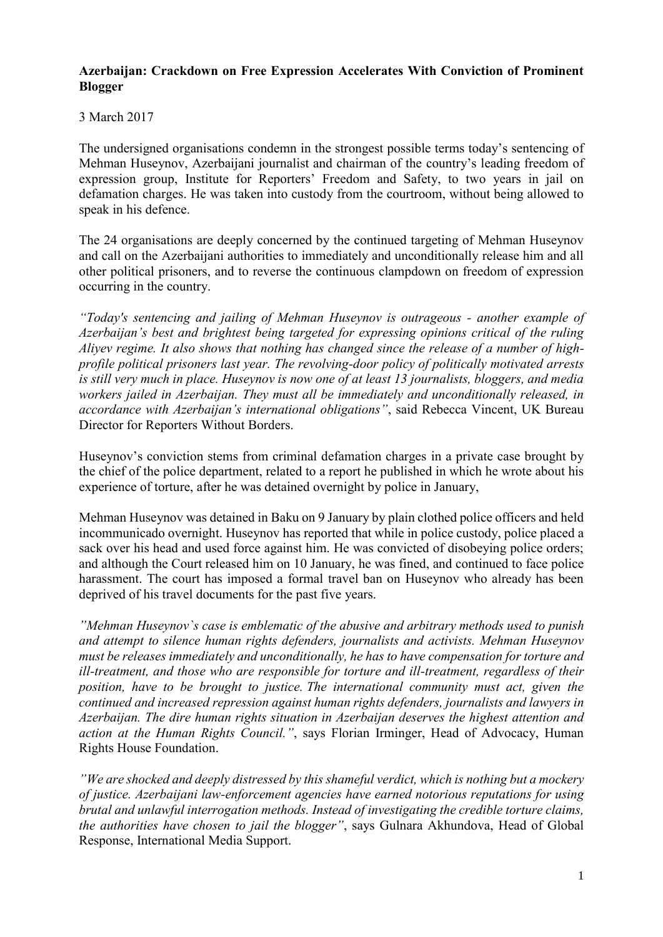### **Azerbaijan: Crackdown on Free Expression Accelerates With Conviction of Prominent Blogger**

# 3 March 2017

The undersigned organisations condemn in the strongest possible terms today's sentencing of Mehman Huseynov, Azerbaijani journalist and chairman of the country's leading freedom of expression group, Institute for Reporters' Freedom and Safety, to two years in jail on defamation charges. He was taken into custody from the courtroom, without being allowed to speak in his defence.

The 24 organisations are deeply concerned by the continued targeting of Mehman Huseynov and call on the Azerbaijani authorities to immediately and unconditionally release him and all other political prisoners, and to reverse the continuous clampdown on freedom of expression occurring in the country.

*"Today's sentencing and jailing of Mehman Huseynov is outrageous - another example of Azerbaijan's best and brightest being targeted for expressing opinions critical of the ruling Aliyev regime. It also shows that nothing has changed since the release of a number of highprofile political prisoners last year. The revolving-door policy of politically motivated arrests is still very much in place. Huseynov is now one of at least 13 journalists, bloggers, and media workers jailed in Azerbaijan. They must all be immediately and unconditionally released, in accordance with Azerbaijan's international obligations"*, said Rebecca Vincent, UK Bureau Director for Reporters Without Borders.

Huseynov's conviction stems from criminal defamation charges in a private case brought by the chief of the police department, related to a report he published in which he wrote about his experience of torture, after he was detained overnight by police in January,

Mehman Huseynov was detained in Baku on 9 January by plain clothed police officers and held incommunicado overnight. Huseynov has reported that while in police custody, police placed a sack over his head and used force against him. He was convicted of disobeying police orders; and although the Court released him on 10 January, he was fined, and continued to face police harassment. The court has imposed a formal travel ban on Huseynov who already has been deprived of his travel documents for the past five years.

*"Mehman Huseynov`s case is emblematic of the abusive and arbitrary methods used to punish and attempt to silence human rights defenders, journalists and activists. Mehman Huseynov must be releases immediately and unconditionally, he has to have compensation for torture and ill-treatment, and those who are responsible for torture and ill-treatment, regardless of their position, have to be brought to justice. The international community must act, given the continued and increased repression against human rights defenders, journalists and lawyers in Azerbaijan. The dire human rights situation in Azerbaijan deserves the highest attention and action at the Human Rights Council."*, says Florian Irminger, Head of Advocacy, Human Rights House Foundation.

*"We are shocked and deeply distressed by this shameful verdict, which is nothing but a mockery of justice. Azerbaijani law-enforcement agencies have earned notorious reputations for using brutal and unlawful interrogation methods. Instead of investigating the credible torture claims, the authorities have chosen to jail the blogger"*, says Gulnara Akhundova, Head of Global Response, International Media Support.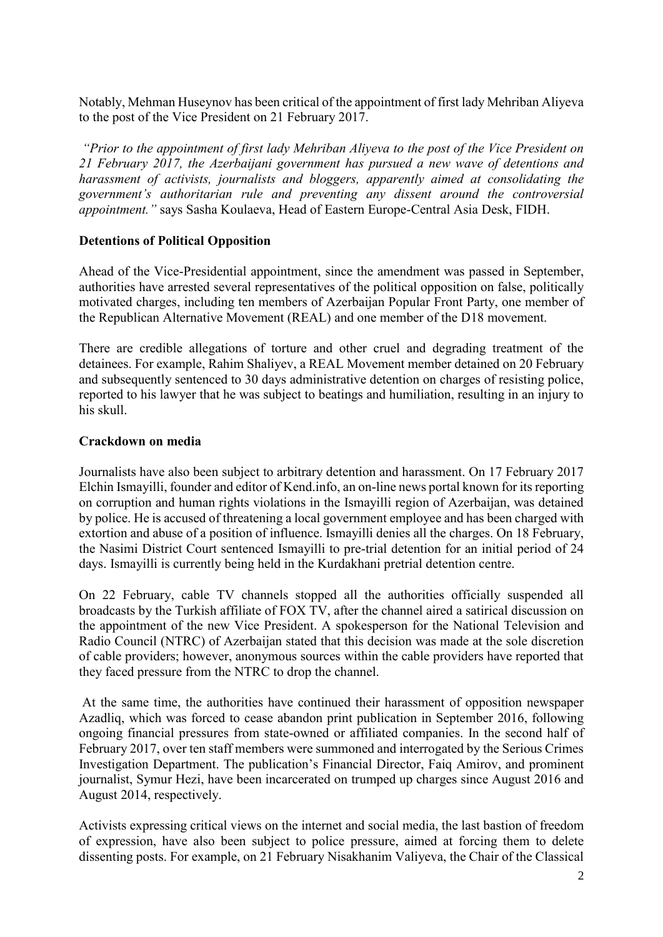Notably, Mehman Huseynov has been critical of the appointment of first lady Mehriban Aliyeva to the post of the Vice President on 21 February 2017.

*"Prior to the appointment of first lady Mehriban Aliyeva to the post of the Vice President on 21 February 2017, the Azerbaijani government has pursued a new wave of detentions and harassment of activists, journalists and bloggers, apparently aimed at consolidating the government's authoritarian rule and preventing any dissent around the controversial appointment."* says Sasha Koulaeva, Head of Eastern Europe-Central Asia Desk, FIDH.

### **Detentions of Political Opposition**

Ahead of the Vice-Presidential appointment, since the amendment was passed in September, authorities have arrested several representatives of the political opposition on false, politically motivated charges, including ten members of Azerbaijan Popular Front Party, one member of the Republican Alternative Movement (REAL) and one member of the D18 movement.

There are credible allegations of torture and other cruel and degrading treatment of the detainees. For example, Rahim Shaliyev, a REAL Movement member detained on 20 February and subsequently sentenced to 30 days administrative detention on charges of resisting police, reported to his lawyer that he was subject to beatings and humiliation, resulting in an injury to his skull.

### **Crackdown on media**

Journalists have also been subject to arbitrary detention and harassment. On 17 February 2017 Elchin Ismayilli, founder and editor of Kend.info, an on-line news portal known for its reporting on corruption and human rights violations in the Ismayilli region of Azerbaijan, was detained by police. He is accused of threatening a local government employee and has been charged with extortion and abuse of a position of influence. Ismayilli denies all the charges. On 18 February, the Nasimi District Court sentenced Ismayilli to pre-trial detention for an initial period of 24 days. Ismayilli is currently being held in the Kurdakhani pretrial detention centre.

On 22 February, cable TV channels stopped all the authorities officially suspended all broadcasts by the Turkish affiliate of FOX TV, after the channel aired a satirical discussion on the appointment of the new Vice President. A spokesperson for the National Television and Radio Council (NTRC) of Azerbaijan stated that this decision was made at the sole discretion of cable providers; however, anonymous sources within the cable providers have reported that they faced pressure from the NTRC to drop the channel.

At the same time, the authorities have continued their harassment of opposition newspaper Azadliq, which was forced to cease abandon print publication in September 2016, following ongoing financial pressures from state-owned or affiliated companies. In the second half of February 2017, over ten staff members were summoned and interrogated by the Serious Crimes Investigation Department. The publication's Financial Director, Faiq Amirov, and prominent journalist, Symur Hezi, have been incarcerated on trumped up charges since August 2016 and August 2014, respectively.

Activists expressing critical views on the internet and social media, the last bastion of freedom of expression, have also been subject to police pressure, aimed at forcing them to delete dissenting posts. For example, on 21 February Nisakhanim Valiyeva, the Chair of the Classical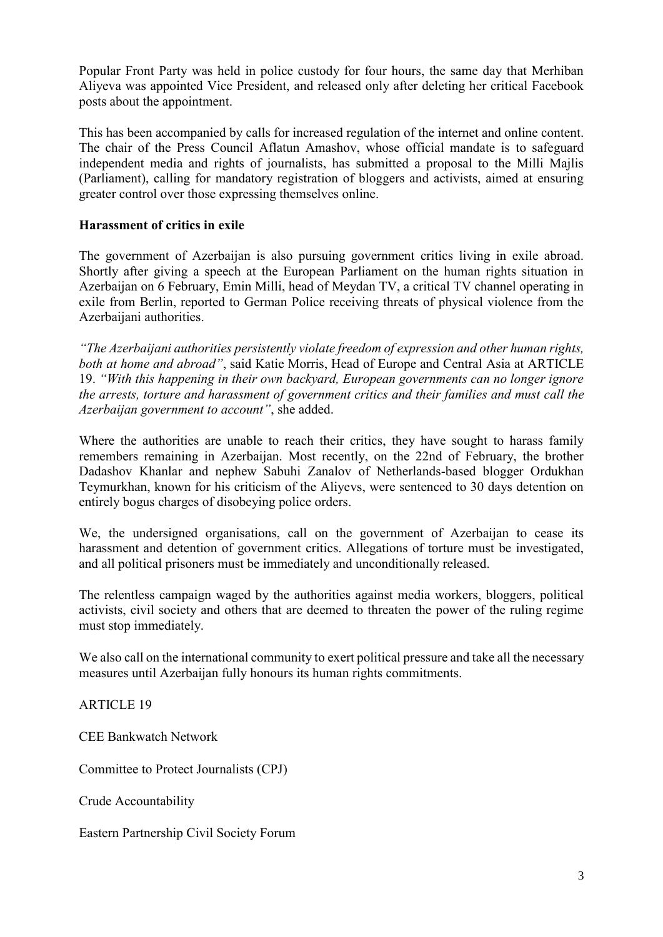Popular Front Party was held in police custody for four hours, the same day that Merhiban Aliyeva was appointed Vice President, and released only after deleting her critical Facebook posts about the appointment.

This has been accompanied by calls for increased regulation of the internet and online content. The chair of the Press Council Aflatun Amashov, whose official mandate is to safeguard independent media and rights of journalists, has submitted a proposal to the Milli Majlis (Parliament), calling for mandatory registration of bloggers and activists, aimed at ensuring greater control over those expressing themselves online.

# **Harassment of critics in exile**

The government of Azerbaijan is also pursuing government critics living in exile abroad. Shortly after giving a speech at the European Parliament on the human rights situation in Azerbaijan on 6 February, Emin Milli, head of Meydan TV, a critical TV channel operating in exile from Berlin, reported to German Police receiving threats of physical violence from the Azerbaijani authorities.

*"The Azerbaijani authorities persistently violate freedom of expression and other human rights, both at home and abroad"*, said Katie Morris, Head of Europe and Central Asia at ARTICLE 19. *"With this happening in their own backyard, European governments can no longer ignore the arrests, torture and harassment of government critics and their families and must call the Azerbaijan government to account"*, she added.

Where the authorities are unable to reach their critics, they have sought to harass family remembers remaining in Azerbaijan. Most recently, on the 22nd of February, the brother Dadashov Khanlar and nephew Sabuhi Zanalov of Netherlands-based blogger Ordukhan Teymurkhan, known for his criticism of the Aliyevs, were sentenced to 30 days detention on entirely bogus charges of disobeying police orders.

We, the undersigned organisations, call on the government of Azerbaijan to cease its harassment and detention of government critics. Allegations of torture must be investigated, and all political prisoners must be immediately and unconditionally released.

The relentless campaign waged by the authorities against media workers, bloggers, political activists, civil society and others that are deemed to threaten the power of the ruling regime must stop immediately.

We also call on the international community to exert political pressure and take all the necessary measures until Azerbaijan fully honours its human rights commitments.

ARTICLE 19

CEE Bankwatch Network

Committee to Protect Journalists (CPJ)

Crude Accountability

Eastern Partnership Civil Society Forum